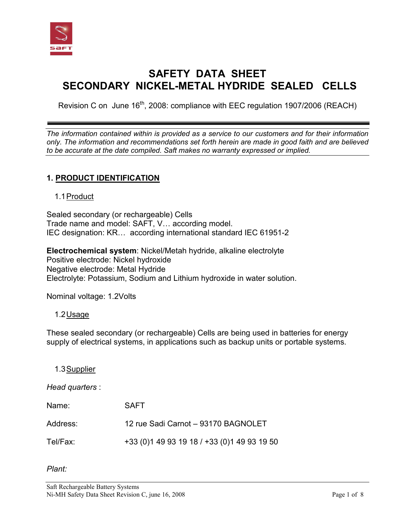

# **SAFETY DATA SHEET SECONDARY NICKEL-METAL HYDRIDE SEALED CELLS**

Revision C on June  $16<sup>th</sup>$ , 2008: compliance with EEC regulation 1907/2006 (REACH)

*The information contained within is provided as a service to our customers and for their information only. The information and recommendations set forth herein are made in good faith and are believed to be accurate at the date compiled. Saft makes no warranty expressed or implied.* 

# **1. PRODUCT IDENTIFICATION**

### 1.1 Product

Sealed secondary (or rechargeable) Cells Trade name and model: SAFT, V… according model. IEC designation: KR… according international standard IEC 61951-2

**Electrochemical system**: Nickel/Metah hydride, alkaline electrolyte Positive electrode: Nickel hydroxide Negative electrode: Metal Hydride Electrolyte: Potassium, Sodium and Lithium hydroxide in water solution.

Nominal voltage: 1.2Volts

### 1.2 Usage

These sealed secondary (or rechargeable) Cells are being used in batteries for energy supply of electrical systems, in applications such as backup units or portable systems.

1.3 Supplier

*Head quarters* :

| Name:    | <b>SAFT</b>                                   |
|----------|-----------------------------------------------|
| Address: | 12 rue Sadi Carnot - 93170 BAGNOLET           |
| Tel/Fax: | +33 (0) 1 49 93 19 18 / +33 (0) 1 49 93 19 50 |

*Plant:*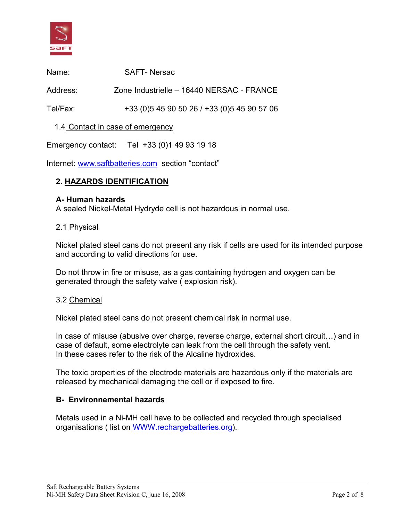

| Name:    | <b>SAFT-Nersac</b>                            |
|----------|-----------------------------------------------|
| Address: | Zone Industrielle - 16440 NERSAC - FRANCE     |
| Tel/Fax: | +33 (0) 5 45 90 50 26 / +33 (0) 5 45 90 57 06 |
|          | 1.4 Contact in case of emergency              |

Emergency contact: Tel +33 (0)1 49 93 19 18

Internet: [www.saftbatteries.com](http://www.saftbatteries.com/) section "contact"

# **2. HAZARDS IDENTIFICATION**

#### **A- Human hazards**

A sealed Nickel-Metal Hydryde cell is not hazardous in normal use.

#### 2.1 Physical

Nickel plated steel cans do not present any risk if cells are used for its intended purpose and according to valid directions for use.

Do not throw in fire or misuse, as a gas containing hydrogen and oxygen can be generated through the safety valve ( explosion risk).

#### 3.2 Chemical

Nickel plated steel cans do not present chemical risk in normal use.

In case of misuse (abusive over charge, reverse charge, external short circuit…) and in case of default, some electrolyte can leak from the cell through the safety vent. In these cases refer to the risk of the Alcaline hydroxides.

The toxic properties of the electrode materials are hazardous only if the materials are released by mechanical damaging the cell or if exposed to fire.

### **B- Environnemental hazards**

Metals used in a Ni-MH cell have to be collected and recycled through specialised organisations ( list on [WWW.rechargebatteries.org\)](http://www.rechargebatteries.org/).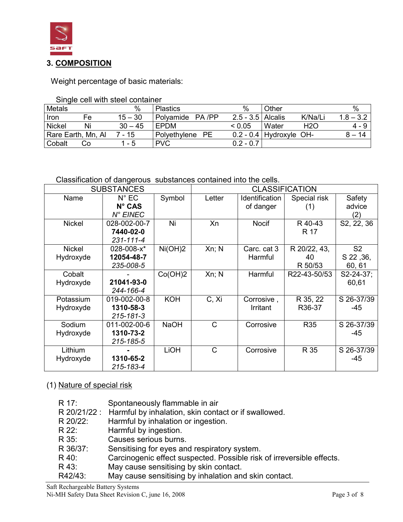

Weight percentage of basic materials:

| Single cell with steel container |  |
|----------------------------------|--|
|----------------------------------|--|

| <b>Metals</b>        |    | %         | <b>Plastics</b>           | $\%$                  | Other               | %           |
|----------------------|----|-----------|---------------------------|-----------------------|---------------------|-------------|
| Iron                 | Fe | $15 - 30$ | Polyamide<br>PA /PP       | $2.5 - 3.5$   Alcalis | K/Na/L              | $1.8 - 3.2$ |
| <b>Nickel</b>        | Ni | $30 - 45$ | EPDM                      | < 0.05                | <b>H2O</b><br>Water | 4 - 9       |
| ' Rare Earth, Mn, Al |    | 7 - 15    | <b>PE</b><br>Polyethylene | $0.2 - 0.4$           | Hydroxyle OH-       | 14          |
| Cobalt               | Cо | - 5       | <b>PVC</b>                | $0.2 - 0.7$           |                     |             |

# Classification of dangerous substances contained into the cells.

| <b>SUBSTANCES</b>          |                                               |             | <b>CLASSIFICATION</b> |                             |                               |                                       |
|----------------------------|-----------------------------------------------|-------------|-----------------------|-----------------------------|-------------------------------|---------------------------------------|
| Name                       | $N^{\circ}$ EC<br>$N^{\circ}$ CAS<br>N° EINEC | Symbol      | Letter                | Identification<br>of danger | Special risk<br>(1)           | Safety<br>advice<br>(2)               |
| <b>Nickel</b>              | 028-002-00-7<br>7440-02-0<br>231-111-4        | Ni          | Xn                    | <b>Nocif</b>                | R 40-43<br>R 17               | $\overline{S}$ 2, 22, 36              |
| <b>Nickel</b><br>Hydroxyde | 028-008-x*<br>12054-48-7<br>235-008-5         | Ni(OH)2     | Xn; N                 | Carc. cat 3<br>Harmful      | R 20/22, 43,<br>40<br>R 50/53 | S <sub>2</sub><br>S 22, 36,<br>60, 61 |
| Cobalt<br>Hydroxyde        | 21041-93-0<br>244-166-4                       | Co(OH)2     | Xn; N                 | Harmful                     | R22-43-50/53                  | S2-24-37;<br>60,61                    |
| Potassium<br>Hydroxyde     | 019-002-00-8<br>1310-58-3<br>215-181-3        | <b>KOH</b>  | C, Xi                 | Corrosive,<br>Irritant      | R 35, 22<br>R36-37            | S 26-37/39<br>-45                     |
| Sodium<br>Hydroxyde        | 011-002-00-6<br>1310-73-2<br>215-185-5        | <b>NaOH</b> | C                     | Corrosive                   | <b>R35</b>                    | S 26-37/39<br>-45                     |
| Lithium<br>Hydroxyde       | 1310-65-2<br>215-183-4                        | LIOH        | C                     | Corrosive                   | R 35                          | S 26-37/39<br>-45                     |

# (1) Nature of special risk

| R 17:    | Spontaneously flammable in air                                        |
|----------|-----------------------------------------------------------------------|
|          | R 20/21/22: Harmful by inhalation, skin contact or if swallowed.      |
| R 20/22: | Harmful by inhalation or ingestion.                                   |
| R 22:    | Harmful by ingestion.                                                 |
| R 35:    | Causes serious burns.                                                 |
| R 36/37: | Sensitising for eyes and respiratory system.                          |
| R 40:    | Carcinogenic effect suspected. Possible risk of irreversible effects. |
| R 43:    | May cause sensitising by skin contact.                                |
| R42/43:  | May cause sensitising by inhalation and skin contact.                 |
|          |                                                                       |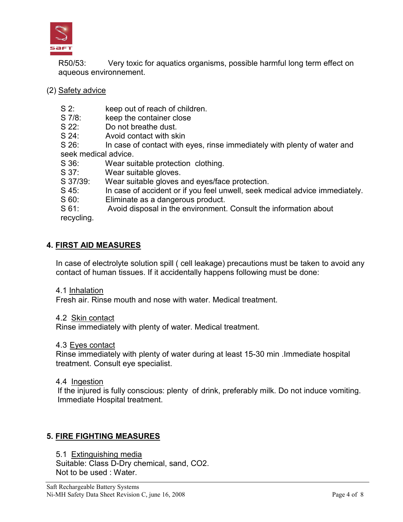

R50/53: Very toxic for aquatics organisms, possible harmful long term effect on aqueous environnement.

- (2) Safety advice
	- S 2: keep out of reach of children.
	- S 7/8: keep the container close
	- S 22: Do not breathe dust.
	- S 24: Avoid contact with skin

S 26: In case of contact with eyes, rinse immediately with plenty of water and seek medical advice.

- S 36: Wear suitable protection clothing.
- S 37: Wear suitable gloves.
- S 37/39: Wear suitable gloves and eyes/face protection.
- S 45: In case of accident or if you feel unwell, seek medical advice immediately.
- S 60: Eliminate as a dangerous product.

S 61: Avoid disposal in the environment. Consult the information about recycling.

# **4. FIRST AID MEASURES**

In case of electrolyte solution spill ( cell leakage) precautions must be taken to avoid any contact of human tissues. If it accidentally happens following must be done:

4.1 Inhalation

Fresh air. Rinse mouth and nose with water. Medical treatment.

### 4.2 Skin contact

Rinse immediately with plenty of water. Medical treatment.

4.3 Eyes contact

Rinse immediately with plenty of water during at least 15-30 min .Immediate hospital treatment. Consult eye specialist.

### 4.4 Ingestion

If the injured is fully conscious: plenty of drink, preferably milk. Do not induce vomiting. Immediate Hospital treatment.

# **5. FIRE FIGHTING MEASURES**

5.1 Extinguishing media Suitable: Class D-Dry chemical, sand, CO2. Not to be used : Water.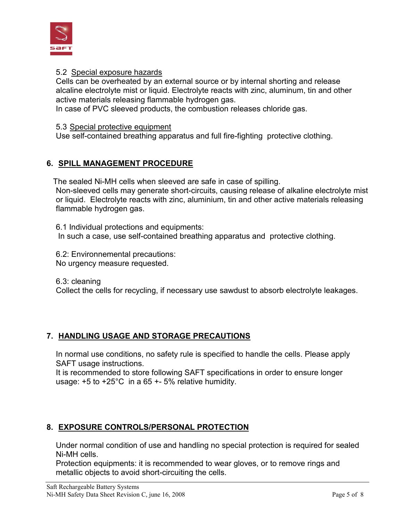

### 5.2 Special exposure hazards

Cells can be overheated by an external source or by internal shorting and release alcaline electrolyte mist or liquid. Electrolyte reacts with zinc, aluminum, tin and other active materials releasing flammable hydrogen gas.

In case of PVC sleeved products, the combustion releases chloride gas.

#### 5.3 Special protective equipment

Use self-contained breathing apparatus and full fire-fighting protective clothing.

# **6. SPILL MANAGEMENT PROCEDURE**

The sealed Ni-MH cells when sleeved are safe in case of spilling. Non-sleeved cells may generate short-circuits, causing release of alkaline electrolyte mist or liquid. Electrolyte reacts with zinc, aluminium, tin and other active materials releasing flammable hydrogen gas.

6.1 Individual protections and equipments: In such a case, use self-contained breathing apparatus and protective clothing.

6.2: Environnemental precautions: No urgency measure requested.

6.3: cleaning Collect the cells for recycling, if necessary use sawdust to absorb electrolyte leakages.

# **7. HANDLING USAGE AND STORAGE PRECAUTIONS**

In normal use conditions, no safety rule is specified to handle the cells. Please apply SAFT usage instructions.

It is recommended to store following SAFT specifications in order to ensure longer usage: +5 to +25°C in a 65 +- 5% relative humidity.

# **8. EXPOSURE CONTROLS/PERSONAL PROTECTION**

Under normal condition of use and handling no special protection is required for sealed Ni-MH cells.

Protection equipments: it is recommended to wear gloves, or to remove rings and metallic objects to avoid short-circuiting the cells.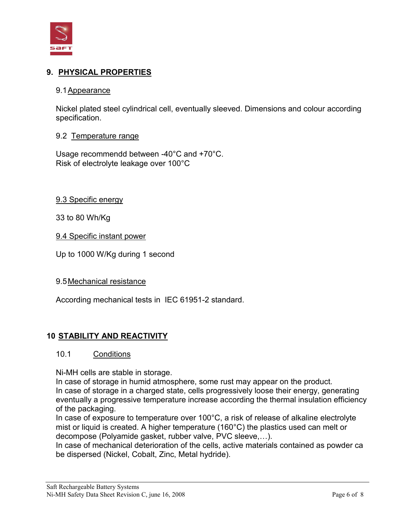

# **9. PHYSICAL PROPERTIES**

#### 9.1 Appearance

Nickel plated steel cylindrical cell, eventually sleeved. Dimensions and colour according specification.

#### 9.2 Temperature range

Usage recommendd between -40°C and +70°C. Risk of electrolyte leakage over 100°C

9.3 Specific energy

33 to 80 Wh/Kg

9.4 Specific instant power

Up to 1000 W/Kg during 1 second

9.5 Mechanical resistance

According mechanical tests in IEC 61951-2 standard.

### **10 STABILITY AND REACTIVITY**

#### 10.1 Conditions

Ni-MH cells are stable in storage.

In case of storage in humid atmosphere, some rust may appear on the product. In case of storage in a charged state, cells progressively loose their energy, generating eventually a progressive temperature increase according the thermal insulation efficiency of the packaging.

In case of exposure to temperature over 100°C, a risk of release of alkaline electrolyte mist or liquid is created. A higher temperature (160°C) the plastics used can melt or decompose (Polyamide gasket, rubber valve, PVC sleeve,…).

In case of mechanical deterioration of the cells, active materials contained as powder ca be dispersed (Nickel, Cobalt, Zinc, Metal hydride).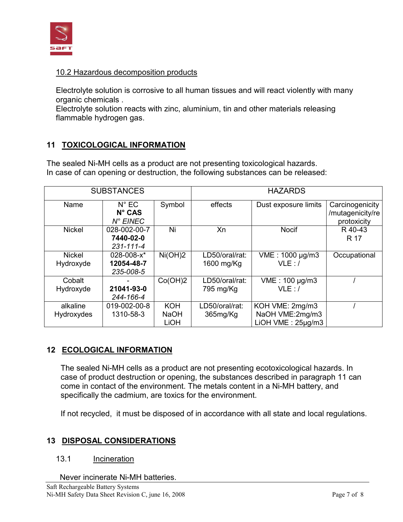

### 10.2 Hazardous decomposition products

Electrolyte solution is corrosive to all human tissues and will react violently with many organic chemicals .

Electrolyte solution reacts with zinc, aluminium, tin and other materials releasing flammable hydrogen gas.

# **11 TOXICOLOGICAL INFORMATION**

The sealed Ni-MH cells as a product are not presenting toxicological hazards. In case of can opening or destruction, the following substances can be released:

| <b>SUBSTANCES</b>          |                                                        |                                   | <b>HAZARDS</b>               |                                                                 |                                                    |  |
|----------------------------|--------------------------------------------------------|-----------------------------------|------------------------------|-----------------------------------------------------------------|----------------------------------------------------|--|
| Name                       | $N^{\circ}$ EC<br>$N^{\circ}$ CAS<br>$N^{\circ}$ EINEC | Symbol                            | effects                      | Dust exposure limits                                            | Carcinogenicity<br>/mutagenicity/re<br>protoxicity |  |
| <b>Nickel</b>              | 028-002-00-7<br>7440-02-0<br>$231 - 111 - 4$           | Ni                                | Xn                           | <b>Nocif</b>                                                    | R 40-43<br>R 17                                    |  |
| <b>Nickel</b><br>Hydroxyde | $028 - 008 - x^*$<br>12054-48-7<br>235-008-5           | Ni(OH)2                           | LD50/oral/rat:<br>1600 mg/Kg | VME: 1000 µg/m3<br>VLE: I                                       | Occupational                                       |  |
| Cobalt<br>Hydroxyde        | 21041-93-0<br>244-166-4                                | Co(OH)2                           | LD50/oral/rat:<br>795 mg/Kg  | VME: 100 µg/m3<br>VLE: I                                        |                                                    |  |
| alkaline<br>Hydroxydes     | 019-002-00-8<br>1310-58-3                              | <b>KOH</b><br><b>NaOH</b><br>LiOH | LD50/oral/rat:<br>365mg/Kg   | KOH VME: 2mg/m3<br>NaOH VME:2mg/m3<br>$LiOH$ VME : $25\mu$ g/m3 |                                                    |  |

# **12 ECOLOGICAL INFORMATION**

The sealed Ni-MH cells as a product are not presenting ecotoxicological hazards. In case of product destruction or opening, the substances described in paragraph 11 can come in contact of the environment. The metals content in a Ni-MH battery, and specifically the cadmium, are toxics for the environment.

If not recycled, it must be disposed of in accordance with all state and local regulations.

# **13 DISPOSAL CONSIDERATIONS**

### 13.1 Incineration

Never incinerate Ni-MH batteries.